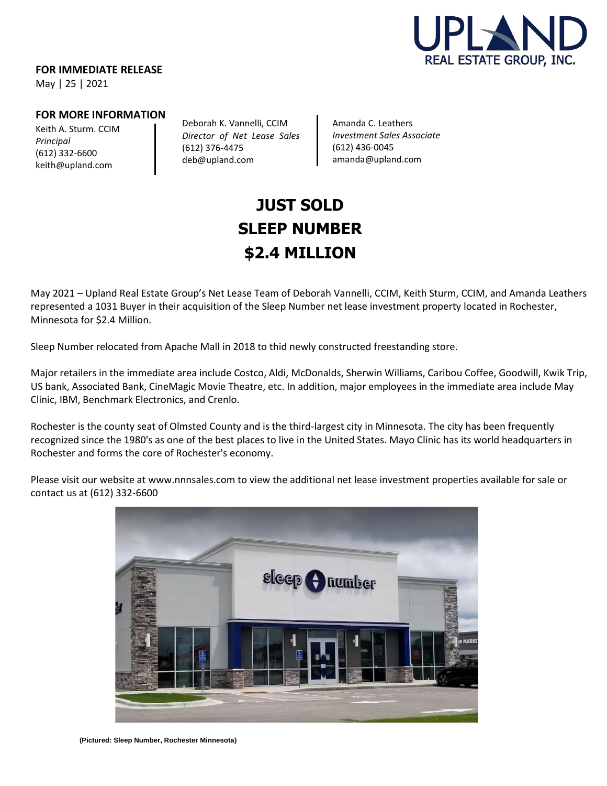

**FOR IMMEDIATE RELEASE**

May | 25 | 2021

#### **FOR MORE INFORMATION**

Keith A. Sturm. CCIM *Principal* (612) 332-6600 [keith@upland.com](mailto:keith@upland.com)

Deborah K. Vannelli, CCIM *Director of Net Lease Sales*  (612) 376-4475 deb@upland.com

Amanda C. Leathers *Investment Sales Associate* (612) 436-0045 [amanda@upland.com](mailto:amanda@upland.com)

# **JUST SOLD SLEEP NUMBER \$2.4 MILLION**

May 2021 – Upland Real Estate Group's Net Lease Team of Deborah Vannelli, CCIM, Keith Sturm, CCIM, and Amanda Leathers represented a 1031 Buyer in their acquisition of the Sleep Number net lease investment property located in Rochester, Minnesota for \$2.4 Million.

Sleep Number relocated from Apache Mall in 2018 to thid newly constructed freestanding store.

Major retailers in the immediate area include Costco, Aldi, McDonalds, Sherwin Williams, Caribou Coffee, Goodwill, Kwik Trip, US bank, Associated Bank, CineMagic Movie Theatre, etc. In addition, major employees in the immediate area include May Clinic, IBM, Benchmark Electronics, and Crenlo.

Rochester is the county seat of Olmsted County and is the third-largest city in Minnesota. The city has been frequently recognized since the 1980's as one of the best places to live in the United States. Mayo Clinic has its world headquarters in Rochester and forms the core of Rochester's economy.

Please visit our website a[t www.nnnsales.com](http://www.nnnsales.com/) to view the additional net lease investment properties available for sale or contact us at (612) 332-6600